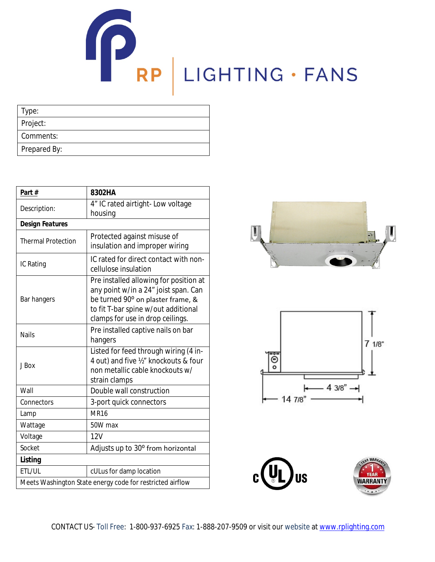## RP LIGHTING · FANS

| Type:        |  |  |
|--------------|--|--|
| Project:     |  |  |
| Comments:    |  |  |
| Prepared By: |  |  |

| Part#                     | 8302HA                                                                                                                                                                                         |  |
|---------------------------|------------------------------------------------------------------------------------------------------------------------------------------------------------------------------------------------|--|
| Description:              | 4" IC rated airtight- Low voltage<br>housing                                                                                                                                                   |  |
| <b>Design Features</b>    |                                                                                                                                                                                                |  |
| <b>Thermal Protection</b> | Protected against misuse of<br>insulation and improper wiring                                                                                                                                  |  |
| IC Rating                 | IC rated for direct contact with non-<br>cellulose insulation                                                                                                                                  |  |
| Bar hangers               | Pre installed allowing for position at<br>any point w/in a 24" joist span. Can<br>be turned 90° on plaster frame, &<br>to fit T-bar spine w/out additional<br>clamps for use in drop ceilings. |  |
| <b>Nails</b>              | Pre installed captive nails on bar<br>hangers                                                                                                                                                  |  |
| J Box                     | Listed for feed through wiring (4 in-<br>4 out) and five 1/2" knockouts & four<br>non metallic cable knockouts w/<br>strain clamps                                                             |  |
| Wall                      | Double wall construction                                                                                                                                                                       |  |
| Connectors                | 3-port quick connectors                                                                                                                                                                        |  |
| Lamp                      | <b>MR16</b>                                                                                                                                                                                    |  |
| Wattage                   | 50W max                                                                                                                                                                                        |  |
| Voltage                   | 12V                                                                                                                                                                                            |  |
| Socket                    | Adjusts up to 30° from horizontal                                                                                                                                                              |  |
| <b>Listing</b>            |                                                                                                                                                                                                |  |
| ETL/UL                    | cULus for damp location                                                                                                                                                                        |  |
|                           | Meets Washington State energy code for restricted airflow                                                                                                                                      |  |